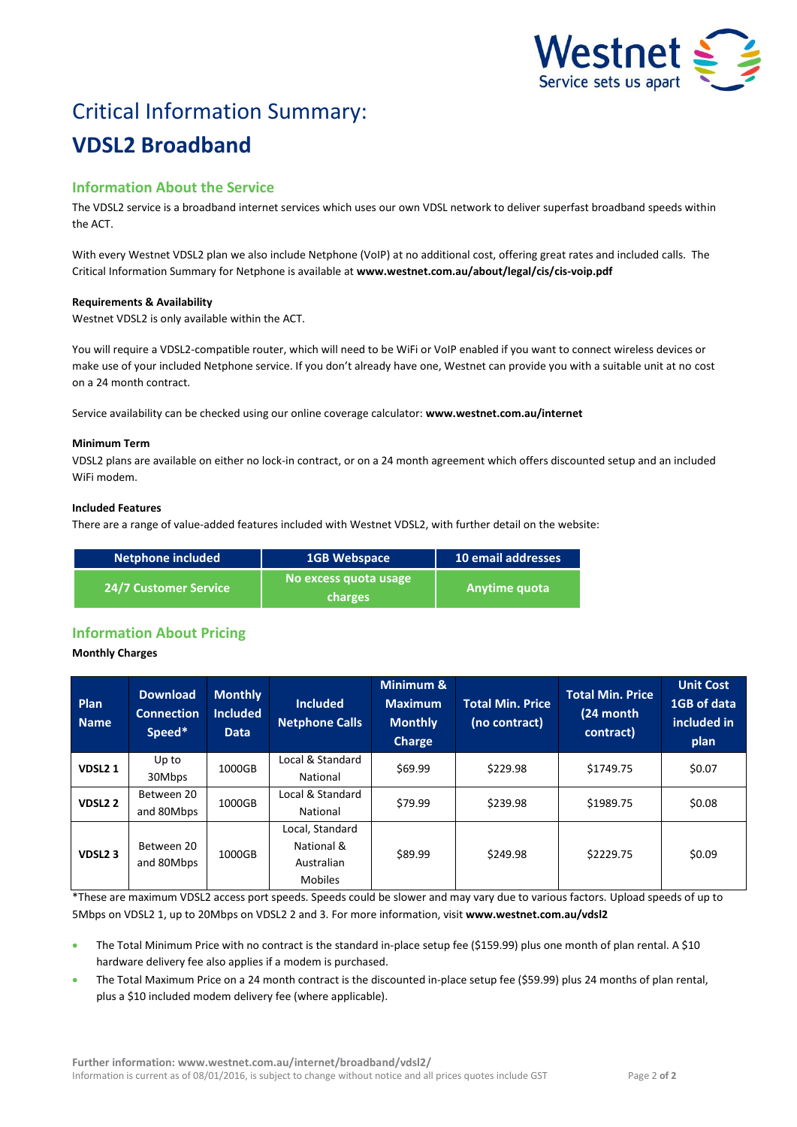

# Critical Information Summary: **VDSL2 Broadband**

## **Information About the Service**

The VDSL2 service is a broadband internet services which uses our own VDSL network to deliver superfast broadband speeds within the ACT.

With every Westnet VDSL2 plan we also include Netphone (VoIP) at no additional cost, offering great rates and included calls. The Critical Information Summary for Netphone is available at **www.westnet.com.au/about/legal/cis/cis-voip.pdf**

## **Requirements & Availability**

Westnet VDSL2 is only available within the ACT.

You will require a VDSL2-compatible router, which will need to be WiFi or VoIP enabled if you want to connect wireless devices or make use of your included Netphone service. If you don't already have one, Westnet can provide you with a suitable unit at no cost on a 24 month contract.

Service availability can be checked using our online coverage calculator: **www.westnet.com.au/internet**

#### **Minimum Term**

VDSL2 plans are available on either no lock-in contract, or on a 24 month agreement which offers discounted setup and an included WiFi modem.

#### **Included Features**

There are a range of value-added features included with Westnet VDSL2, with further detail on the website:

| Netphone included            | <b>1GB Webspace</b>              | 10 email addresses |
|------------------------------|----------------------------------|--------------------|
| <b>24/7 Customer Service</b> | No excess quota usage<br>charges | l Anytime quota    |

## **Information About Pricing**

## **Monthly Charges**

| Plan<br><b>Name</b> | <b>Download</b><br><b>Connection</b><br>Speed* | <b>Monthly</b><br><b>Included</b><br><b>Data</b> | <b>Included</b><br><b>Netphone Calls</b>                      | Minimum &<br><b>Maximum</b><br><b>Monthly</b><br>Charge | <b>Total Min. Price</b><br>(no contract) | <b>Total Min. Price</b><br>(24 month<br>contract) | <b>Unit Cost</b><br>1GB of data<br>included in<br>plan |
|---------------------|------------------------------------------------|--------------------------------------------------|---------------------------------------------------------------|---------------------------------------------------------|------------------------------------------|---------------------------------------------------|--------------------------------------------------------|
| VDSL <sub>21</sub>  | Up to<br>30Mbps                                | 1000GB                                           | Local & Standard<br>National                                  | \$69.99                                                 | \$229.98                                 | \$1749.75                                         | \$0.07                                                 |
| <b>VDSL22</b>       | Between 20<br>and 80Mbps                       | 1000GB                                           | Local & Standard<br>National                                  | \$79.99                                                 | \$239.98                                 | \$1989.75                                         | \$0.08                                                 |
| VDSL <sub>2</sub> 3 | Between 20<br>and 80Mbps                       | 1000GB                                           | Local, Standard<br>National &<br>Australian<br><b>Mobiles</b> | \$89.99                                                 | \$249.98                                 | \$2229.75                                         | \$0.09                                                 |

\*These are maximum VDSL2 access port speeds. Speeds could be slower and may vary due to various factors. Upload speeds of up to 5Mbps on VDSL2 1, up to 20Mbps on VDSL2 2 and 3. For more information, visit **www.westnet.com.au/vdsl2**

- The Total Minimum Price with no contract is the standard in-place setup fee (\$159.99) plus one month of plan rental. A \$10 hardware delivery fee also applies if a modem is purchased.
- The Total Maximum Price on a 24 month contract is the discounted in-place setup fee (\$59.99) plus 24 months of plan rental, plus a \$10 included modem delivery fee (where applicable).